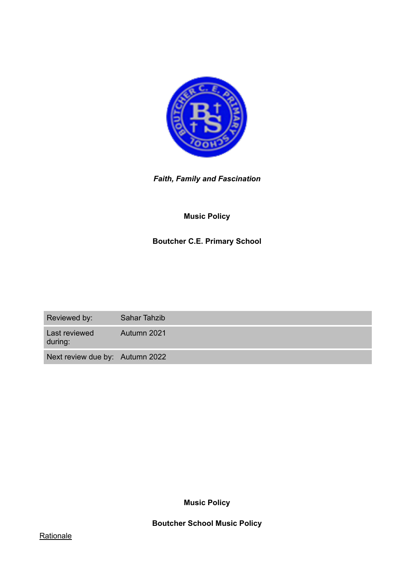

*Faith, Family and Fascination* 

# **Music Policy**

# **Boutcher C.E. Primary School**

Reviewed by: Sahar Tahzib Last reviewed during: Autumn 2021

Next review due by: Autumn 2022

**Music Policy** 

**Boutcher School Music Policy**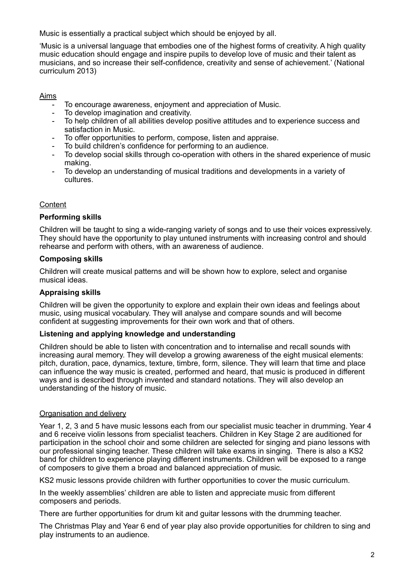Music is essentially a practical subject which should be enjoyed by all.

'Music is a universal language that embodies one of the highest forms of creativity. A high quality music education should engage and inspire pupils to develop love of music and their talent as musicians, and so increase their self-confidence, creativity and sense of achievement.' (National curriculum 2013)

Aims

- To encourage awareness, enjoyment and appreciation of Music.
- To develop imagination and creativity.
- To help children of all abilities develop positive attitudes and to experience success and satisfaction in Music.
- To offer opportunities to perform, compose, listen and appraise.
- To build children's confidence for performing to an audience.
- To develop social skills through co-operation with others in the shared experience of music making.
- To develop an understanding of musical traditions and developments in a variety of cultures.

## **Content**

#### **Performing skills**

Children will be taught to sing a wide-ranging variety of songs and to use their voices expressively. They should have the opportunity to play untuned instruments with increasing control and should rehearse and perform with others, with an awareness of audience.

#### **Composing skills**

Children will create musical patterns and will be shown how to explore, select and organise musical ideas.

#### **Appraising skills**

Children will be given the opportunity to explore and explain their own ideas and feelings about music, using musical vocabulary. They will analyse and compare sounds and will become confident at suggesting improvements for their own work and that of others.

#### **Listening and applying knowledge and understanding**

Children should be able to listen with concentration and to internalise and recall sounds with increasing aural memory. They will develop a growing awareness of the eight musical elements: pitch, duration, pace, dynamics, texture, timbre, form, silence. They will learn that time and place can influence the way music is created, performed and heard, that music is produced in different ways and is described through invented and standard notations. They will also develop an understanding of the history of music.

#### Organisation and delivery

Year 1, 2, 3 and 5 have music lessons each from our specialist music teacher in drumming. Year 4 and 6 receive violin lessons from specialist teachers. Children in Key Stage 2 are auditioned for participation in the school choir and some children are selected for singing and piano lessons with our professional singing teacher. These children will take exams in singing. There is also a KS2 band for children to experience playing different instruments. Children will be exposed to a range of composers to give them a broad and balanced appreciation of music.

KS2 music lessons provide children with further opportunities to cover the music curriculum.

In the weekly assemblies' children are able to listen and appreciate music from different composers and periods.

There are further opportunities for drum kit and guitar lessons with the drumming teacher.

The Christmas Play and Year 6 end of year play also provide opportunities for children to sing and play instruments to an audience.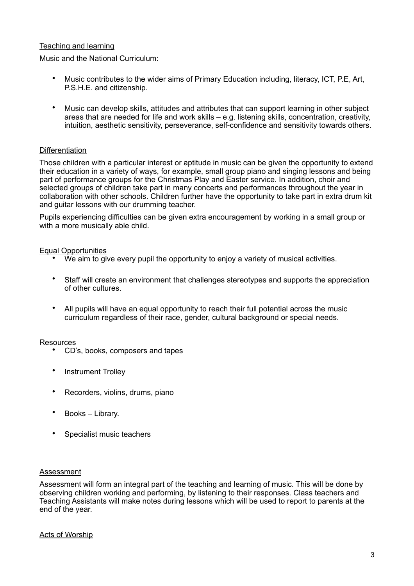## Teaching and learning

Music and the National Curriculum:

- Music contributes to the wider aims of Primary Education including, literacy, ICT, P.E, Art, P.S.H.E. and citizenship.
- Music can develop skills, attitudes and attributes that can support learning in other subject areas that are needed for life and work skills – e.g. listening skills, concentration, creativity, intuition, aesthetic sensitivity, perseverance, self-confidence and sensitivity towards others.

## **Differentiation**

Those children with a particular interest or aptitude in music can be given the opportunity to extend their education in a variety of ways, for example, small group piano and singing lessons and being part of performance groups for the Christmas Play and Easter service. In addition, choir and selected groups of children take part in many concerts and performances throughout the year in collaboration with other schools. Children further have the opportunity to take part in extra drum kit and guitar lessons with our drumming teacher.

Pupils experiencing difficulties can be given extra encouragement by working in a small group or with a more musically able child.

## Equal Opportunities

- We aim to give every pupil the opportunity to enjoy a variety of musical activities.
- Staff will create an environment that challenges stereotypes and supports the appreciation of other cultures.
- All pupils will have an equal opportunity to reach their full potential across the music curriculum regardless of their race, gender, cultural background or special needs.

#### Resources

- CD's, books, composers and tapes
- Instrument Trolley
- Recorders, violins, drums, piano
- Books Library.
- Specialist music teachers

#### Assessment

Assessment will form an integral part of the teaching and learning of music. This will be done by observing children working and performing, by listening to their responses. Class teachers and Teaching Assistants will make notes during lessons which will be used to report to parents at the end of the year.

## Acts of Worship